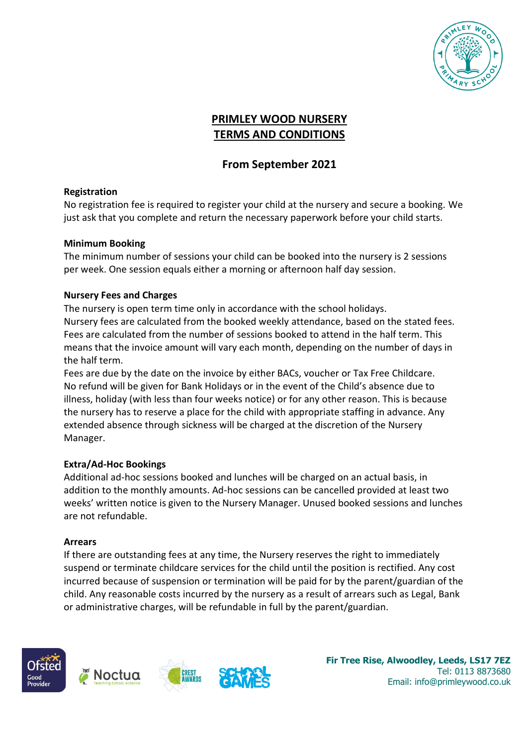

# **PRIMLEY WOOD NURSERY TERMS AND CONDITIONS**

# **From September 2021**

## **Registration**

No registration fee is required to register your child at the nursery and secure a booking. We just ask that you complete and return the necessary paperwork before your child starts.

## **Minimum Booking**

The minimum number of sessions your child can be booked into the nursery is 2 sessions per week. One session equals either a morning or afternoon half day session.

## **Nursery Fees and Charges**

The nursery is open term time only in accordance with the school holidays. Nursery fees are calculated from the booked weekly attendance, based on the stated fees. Fees are calculated from the number of sessions booked to attend in the half term. This means that the invoice amount will vary each month, depending on the number of days in the half term.

Fees are due by the date on the invoice by either BACs, voucher or Tax Free Childcare. No refund will be given for Bank Holidays or in the event of the Child's absence due to illness, holiday (with less than four weeks notice) or for any other reason. This is because the nursery has to reserve a place for the child with appropriate staffing in advance. Any extended absence through sickness will be charged at the discretion of the Nursery Manager.

# **Extra/Ad-Hoc Bookings**

Additional ad-hoc sessions booked and lunches will be charged on an actual basis, in addition to the monthly amounts. Ad-hoc sessions can be cancelled provided at least two weeks' written notice is given to the Nursery Manager. Unused booked sessions and lunches are not refundable.

### **Arrears**

If there are outstanding fees at any time, the Nursery reserves the right to immediately suspend or terminate childcare services for the child until the position is rectified. Any cost incurred because of suspension or termination will be paid for by the parent/guardian of the child. Any reasonable costs incurred by the nursery as a result of arrears such as Legal, Bank or administrative charges, will be refundable in full by the parent/guardian.

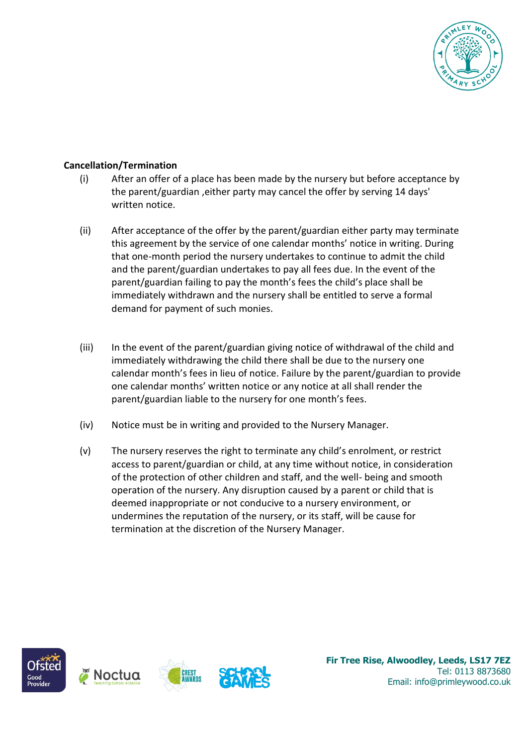

### **Cancellation/Termination**

- (i) After an offer of a place has been made by the nursery but before acceptance by the parent/guardian ,either party may cancel the offer by serving 14 days' written notice.
- (ii) After acceptance of the offer by the parent/guardian either party may terminate this agreement by the service of one calendar months' notice in writing. During that one-month period the nursery undertakes to continue to admit the child and the parent/guardian undertakes to pay all fees due. In the event of the parent/guardian failing to pay the month's fees the child's place shall be immediately withdrawn and the nursery shall be entitled to serve a formal demand for payment of such monies.
- (iii) In the event of the parent/guardian giving notice of withdrawal of the child and immediately withdrawing the child there shall be due to the nursery one calendar month's fees in lieu of notice. Failure by the parent/guardian to provide one calendar months' written notice or any notice at all shall render the parent/guardian liable to the nursery for one month's fees.
- (iv) Notice must be in writing and provided to the Nursery Manager.
- (v) The nursery reserves the right to terminate any child's enrolment, or restrict access to parent/guardian or child, at any time without notice, in consideration of the protection of other children and staff, and the well- being and smooth operation of the nursery. Any disruption caused by a parent or child that is deemed inappropriate or not conducive to a nursery environment, or undermines the reputation of the nursery, or its staff, will be cause for termination at the discretion of the Nursery Manager.



**Fir Tree Rise, Alwoodley, Leeds, LS17 7EZ**  Tel: 0113 8873680 Email: info@primleywood.co.uk